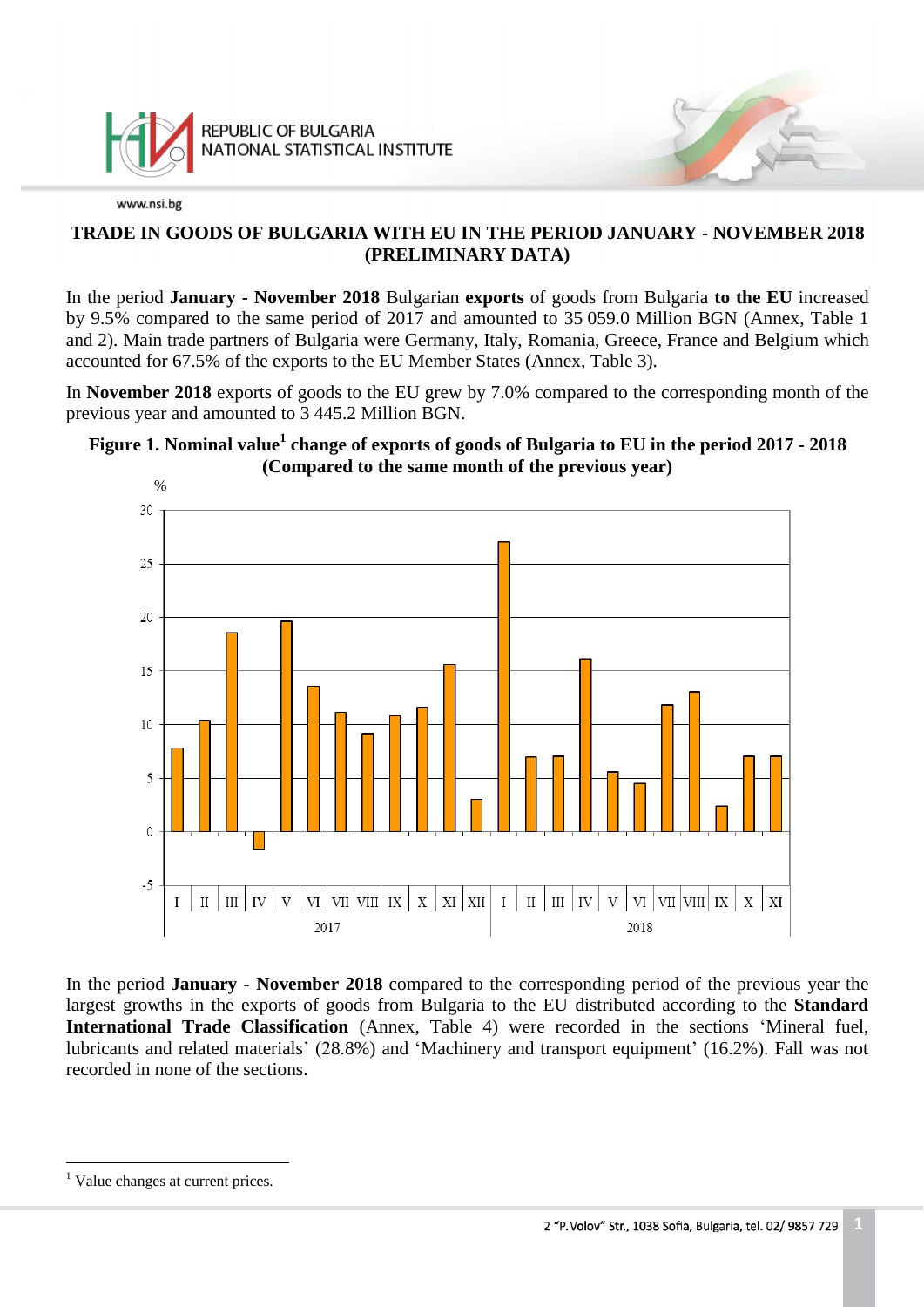

## **TRADE IN GOODS OF BULGARIA WITH EU IN THE PERIOD JANUARY - NOVEMBER 2018 (PRELIMINARY DATA)**

In the period **January - November 2018** Bulgarian **exports** of goods from Bulgaria **to the EU** increased by 9.5% compared to the same period of 2017 and amounted to 35 059.0 Million BGN (Annex, Table 1 and 2). Main trade partners of Bulgaria were Germany, Italy, Romania, Greece, France and Belgium which accounted for 67.5% of the exports to the EU Member States (Annex, Table 3).

In **November 2018** exports of goods to the EU grew by 7.0% compared to the corresponding month of the previous year and amounted to 3 445.2 Million BGN.

# **Figure 1. Nominal value<sup>1</sup> change of exports of goods of Bulgaria to EU in the period 2017 - 2018 (Compared to the same month of the previous year)**



In the period **January - November 2018** compared to the corresponding period of the previous year the largest growths in the exports of goods from Bulgaria to the EU distributed according to the **Standard International Trade Classification** (Annex, Table 4) were recorded in the sections 'Mineral fuel, lubricants and related materials' (28.8%) and 'Machinery and transport equipment' (16.2%). Fall was not recorded in none of the sections.

i<br>L

<sup>&</sup>lt;sup>1</sup> Value changes at current prices.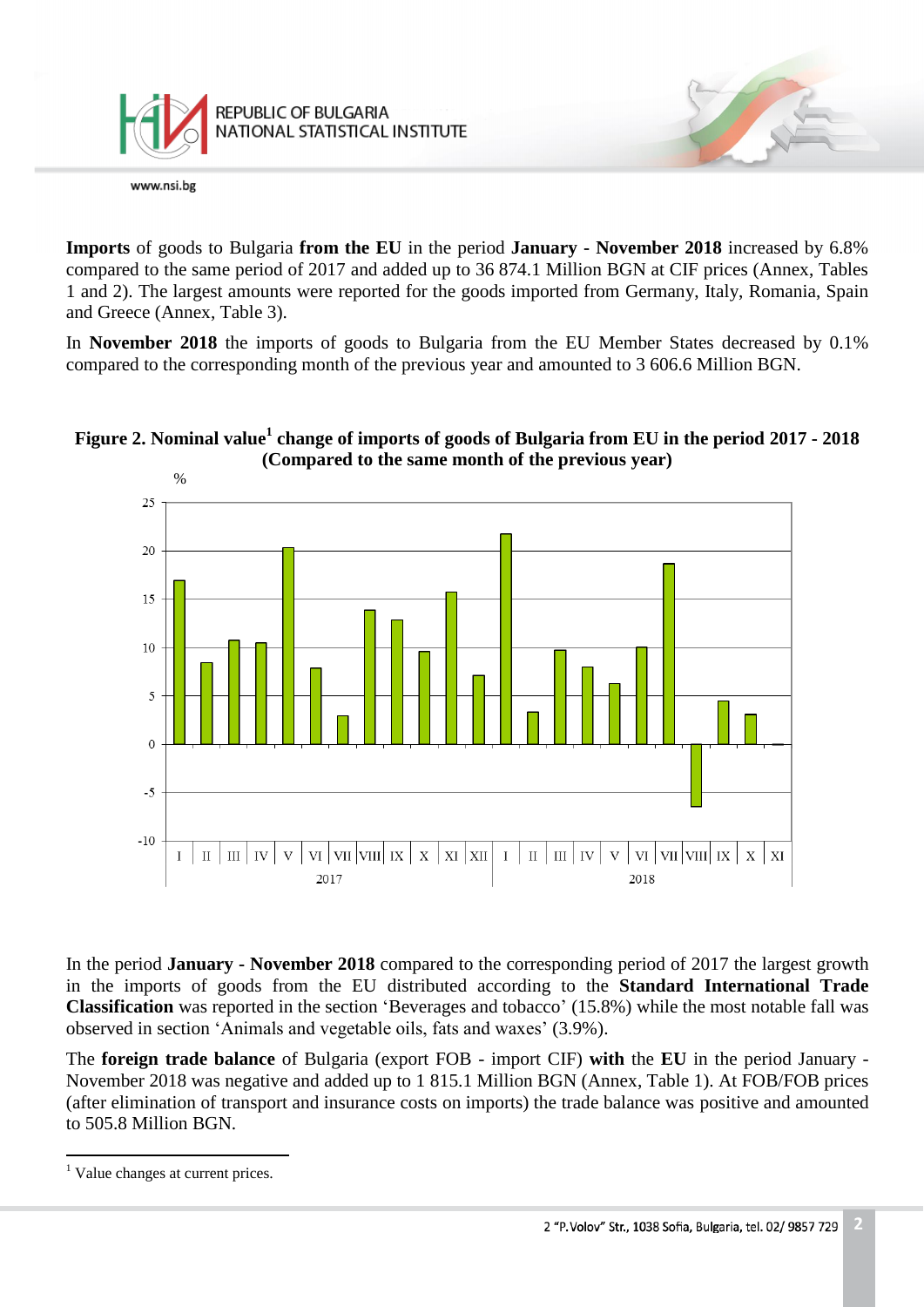

**Imports** of goods to Bulgaria **from the EU** in the period **January - November 2018** increased by 6.8% compared to the same period of 2017 and added up to 36 874.1 Million BGN at CIF prices (Annex, Tables 1 and 2). The largest amounts were reported for the goods imported from Germany, Italy, Romania, Spain and Greece (Annex, Table 3).

In **November 2018** the imports of goods to Bulgaria from the EU Member States decreased by 0.1% compared to the corresponding month of the previous year and amounted to 3 606.6 Million BGN.

# **Figure 2. Nominal value<sup>1</sup> change of imports of goods of Bulgaria from EU in the period 2017 - 2018 (Compared to the same month of the previous year)**



In the period **January - November 2018** compared to the corresponding period of 2017 the largest growth in the imports of goods from the EU distributed according to the **Standard International Trade Classification** was reported in the section 'Beverages and tobacco' (15.8%) while the most notable fall was observed in section 'Animals and vegetable oils, fats and waxes' (3.9%).

The **foreign trade balance** of Bulgaria (export FOB - import CIF) **with** the **EU** in the period January - November 2018 was negative and added up to 1 815.1 Million BGN (Annex, Table 1). At FOB/FOB prices (after elimination of transport and insurance costs on imports) the trade balance was positive and amounted to 505.8 Million BGN.

L,

 $<sup>1</sup>$  Value changes at current prices.</sup>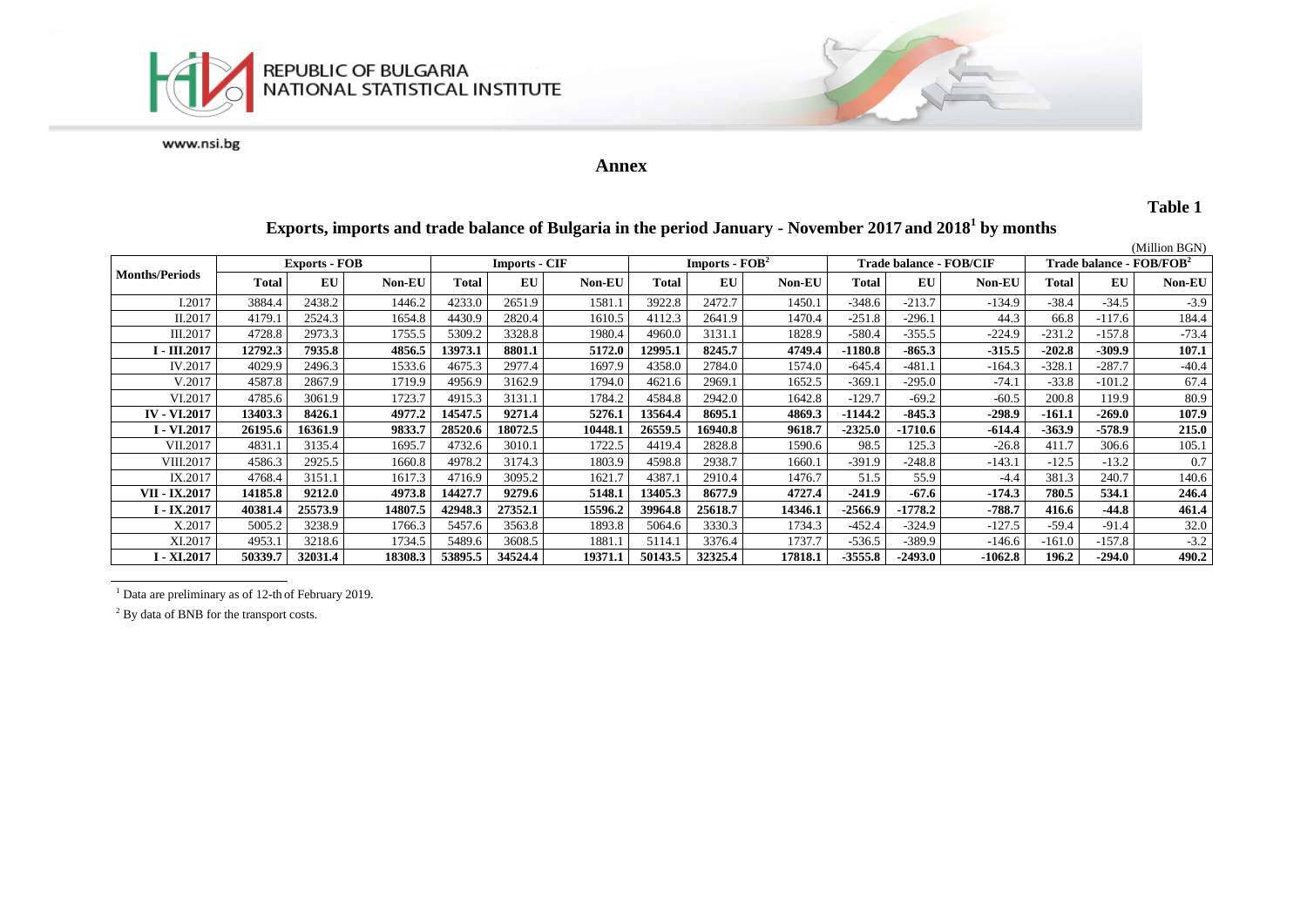



#### **Annex**

#### **Table 1**

#### **Exports, imports and trade balance of Bulgaria in the period January - November 2017 and 2018 1 by months**

|                       |                      |         |         |         |                      |         |                                    |         |               |                         |           |           |                                      |          | (Million BGN) |
|-----------------------|----------------------|---------|---------|---------|----------------------|---------|------------------------------------|---------|---------------|-------------------------|-----------|-----------|--------------------------------------|----------|---------------|
| <b>Months/Periods</b> | <b>Exports - FOB</b> |         |         |         | <b>Imports - CIF</b> |         | <b>Imports - <math>FOB2</math></b> |         |               | Trade balance - FOB/CIF |           |           | Trade balance - FOB/FOB <sup>2</sup> |          |               |
|                       | Total                | EU      | Non-EU  | Total   | EU                   | Non-EU  | Total                              | EU      | <b>Non-EU</b> | Total                   | EU        | Non-EU    | Total                                | EU       | Non-EU        |
| I.2017                | 3884.4               | 2438.2  | 1446.2  | 4233.0  | 2651.9               | 1581.1  | 3922.8                             | 2472.7  | 1450.1        | $-348.6$                | $-213.7$  | $-134.9$  | $-38.4$                              | $-34.5$  | $-3.9$        |
| II.2017               | 4179.                | 2524.3  | 1654.8  | 4430.9  | 2820.4               | 1610.5  | 4112.3                             | 2641.9  | 1470.4        | $-251.8$                | $-296.1$  | 44.3      | 66.8                                 | $-117.6$ | 184.4         |
| III.2017              | 4728.8               | 2973.3  | 1755.5  | 5309.2  | 3328.8               | 1980.4  | 4960.0                             | 3131.1  | 1828.9        | $-580.4$                | $-355.5$  | $-224.9$  | $-231.2$                             | $-157.8$ | $-73.4$       |
| I - III.2017          | 12792.3              | 7935.8  | 4856.5  | 13973.1 | 8801.1               | 5172.0  | 12995.1                            | 8245.7  | 4749.4        | -1180.8                 | $-865.3$  | $-315.5$  | $-202.8$                             | -309.9   | 107.1         |
| IV.2017               | 4029.9               | 2496.3  | 1533.6  | 4675.3  | 2977.4               | 1697.9  | 4358.0                             | 2784.0  | 1574.0        | -645.4                  | $-481.1$  | $-164.3$  | $-328.1$                             | $-287.7$ | $-40.4$       |
| V.2017                | 4587.8               | 2867.9  | 1719.9  | 4956.9  | 3162.9               | 1794.0  | 4621.6                             | 2969.1  | 1652.5        | $-369.1$                | $-295.0$  | $-74.1$   | $-33.8$                              | $-101.2$ | 67.4          |
| VI.2017               | 4785.6               | 3061.9  | 1723.7  | 4915.3  | 3131.1               | 1784.2  | 4584.8                             | 2942.0  | 1642.8        | $-129.7$                | $-69.2$   | $-60.5$   | 200.8                                | 119.9    | 80.9          |
| <b>IV - VI.2017</b>   | 13403.3              | 8426.1  | 4977.2  | 14547.5 | 9271.4               | 5276.1  | 13564.4                            | 8695.1  | 4869.3        | -1144.2                 | $-845.3$  | $-298.9$  | $-161.1$                             | $-269.0$ | 107.9         |
| <b>I</b> - VI.2017    | 26195.6              | 16361.9 | 9833.7  | 28520.6 | 18072.5              | 10448.1 | 26559.5                            | 16940.8 | 9618.7        | $-2325.0$               | -1710.6   | $-614.4$  | $-363.9$                             | $-578.9$ | 215.0         |
| VII.2017              | 4831.1               | 3135.4  | 1695.   | 4732.6  | 3010.1               | 1722.5  | 4419.4                             | 2828.8  | 1590.6        | 98.5                    | 125.3     | $-26.8$   | 411.7                                | 306.6    | 105.1         |
| VIII.2017             | 4586.3               | 2925.5  | 1660.8  | 4978.2  | 3174.3               | 1803.9  | 4598.8                             | 2938.7  | 1660.1        | $-391.9$                | $-248.8$  | $-143.1$  | $-12.5$                              | $-13.2$  | 0.7           |
| IX.2017               | 4768.4               | 3151.1  | 1617.3  | 4716.9  | 3095.2               | 1621.7  | 4387.1                             | 2910.4  | 1476.7        | 51.5                    | 55.9      | $-4.4$    | 381.3                                | 240.7    | 140.6         |
| VII - IX.2017         | 14185.8              | 9212.0  | 4973.8  | 14427.7 | 9279.6               | 5148.1  | 13405.3                            | 8677.9  | 4727.4        | $-241.9$                | $-67.6$   | $-174.3$  | 780.5                                | 534.1    | 246.4         |
| I - IX.2017           | 40381.4              | 25573.9 | 14807.5 | 42948.3 | 27352.1              | 15596.2 | 39964.8                            | 25618.7 | 14346.1       | -2566.9                 | $-1778.2$ | $-788.7$  | 416.6                                | $-44.8$  | 461.4         |
| X.2017                | 5005.2               | 3238.9  | 1766.3  | 5457.6  | 3563.8               | 1893.8  | 5064.6                             | 3330.3  | 1734.3        | $-452.4$                | $-324.9$  | $-127.5$  | $-59.4$                              | $-91.4$  | 32.0          |
| XI.2017               | 4953.                | 3218.6  | 1734.5  | 5489.6  | 3608.5               | 1881.1  | 5114.1                             | 3376.4  | 1737.7        | $-536.5$                | $-389.9$  | $-146.6$  | $-161.0$                             | $-157.8$ | $-3.2$        |
| I - XI.2017           | 50339.7              | 32031.4 | 18308.3 | 53895.5 | 34524.4              | 19371.1 | 50143.5                            | 32325.4 | 17818.1       | $-3555.8$               | $-2493.0$ | $-1062.8$ | 196.2                                | $-294.0$ | 490.2         |

<sup>1</sup> Data are preliminary as of 12-th of February 2019.

<sup>2</sup> By data of BNB for the transport costs.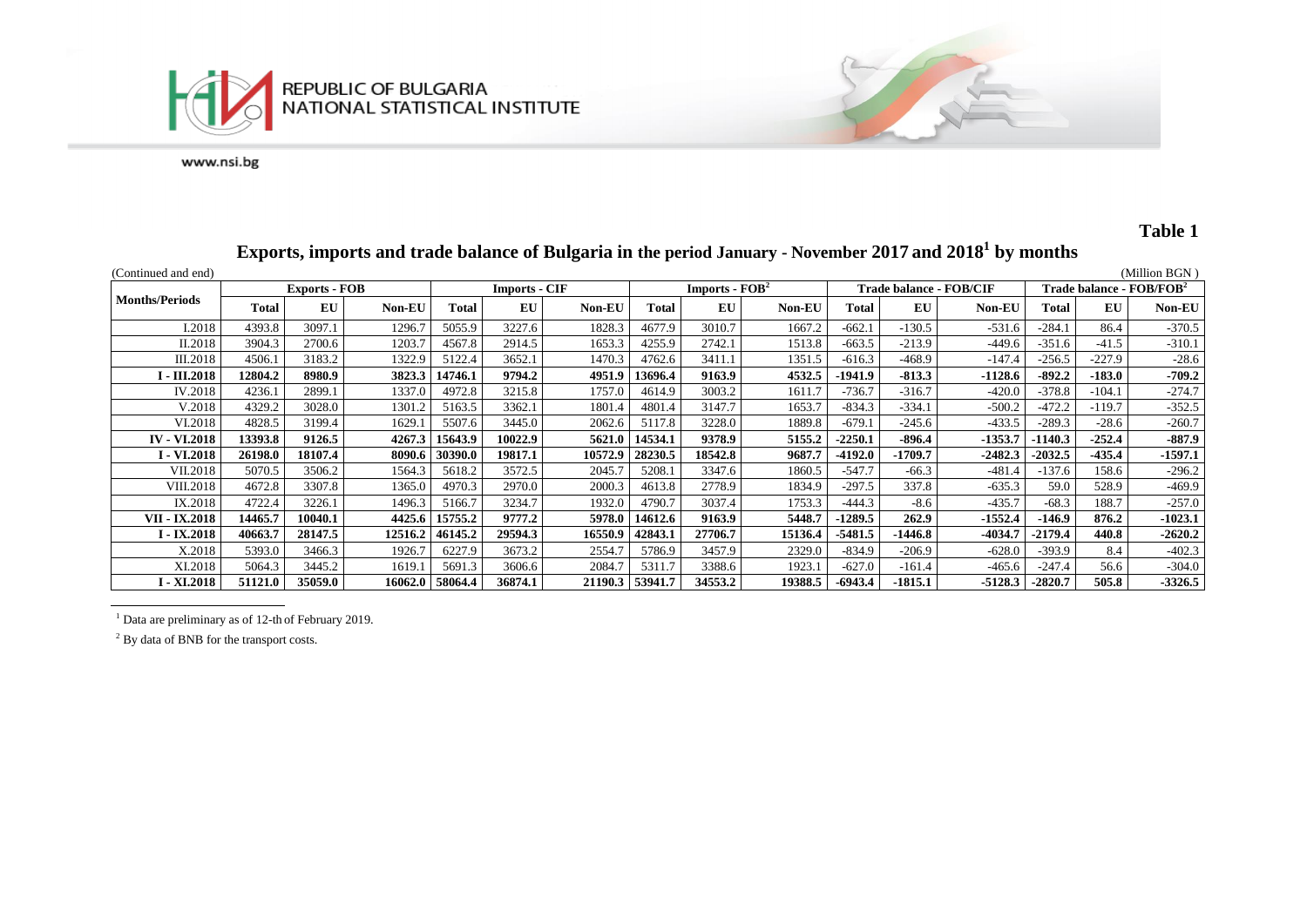



# **Table 1**

# **Exports, imports and trade balance of Bulgaria in the period January - November 2017 and 2018 1 by months**

| (Continued and end)        |                      |         |               |                      |         |         |         |                  |         |           |                                |           |           |                                         | (Million BGN) |  |
|----------------------------|----------------------|---------|---------------|----------------------|---------|---------|---------|------------------|---------|-----------|--------------------------------|-----------|-----------|-----------------------------------------|---------------|--|
|                            | <b>Exports - FOB</b> |         |               | <b>Imports - CIF</b> |         |         |         | $Imports - FOB2$ |         |           | <b>Trade balance - FOB/CIF</b> |           |           | Trade balance - ${\rm FOB}/{\rm FOB}^2$ |               |  |
| <b>Months/Periods</b>      | Total                | EU      | <b>Non-EU</b> | <b>Total</b>         | EU      | Non-EU  | Total   | <b>EU</b>        | Non-EU  | Total     | EU                             | Non-EU    | Total     | EU                                      | Non-EU        |  |
| I.2018                     | 4393.8               | 3097.1  | 1296.7        | 5055.9               | 3227.6  | 1828.3  | 4677.9  | 3010.7           | 1667.2  | $-662.1$  | $-130.5$                       | $-531.6$  | $-284.1$  | 86.4                                    | $-370.5$      |  |
| II.2018                    | 3904.3               | 2700.6  | 1203.7        | 4567.8               | 2914.5  | 1653.3  | 4255.9  | 2742.1           | 1513.8  | $-663.5$  | $-213.9$                       | $-449.6$  | $-351.6$  | -41.5                                   | $-310.1$      |  |
| <b>III.2018</b>            | 4506.1               | 3183.2  | 1322.9        | 5122.4               | 3652.1  | 1470.3  | 4762.6  | 3411.1           | 1351.5  | $-616.3$  | $-468.9$                       | $-147.4$  | $-256.5$  | $-227.9$                                | $-28.6$       |  |
| <b>I</b> - <b>III.2018</b> | 12804.2              | 8980.9  | 3823.3        | 14746.1              | 9794.2  | 4951.9  | 13696.4 | 9163.9           | 4532.5  | $-1941.9$ | $-813.3$                       | $-1128.6$ | $-892.2$  | $-183.0$                                | $-709.2$      |  |
| IV.2018                    | 4236.1               | 2899.1  | 1337.0        | 4972.8               | 3215.8  | 1757.0  | 4614.9  | 3003.2           | 1611.7  | $-736.7$  | $-316.7$                       | $-420.0$  | $-378.8$  | $-104.1$                                | $-274.7$      |  |
| V.2018                     | 4329.2               | 3028.0  | 1301.2        | 5163.5               | 3362.1  | 1801.4  | 4801.4  | 3147.7           | 1653.7  | $-834.3$  | $-334.1$                       | $-500.2$  | $-472.2$  | $-119.7$                                | $-352.5$      |  |
| VI.2018                    | 4828.5               | 3199.4  | 1629.1        | 5507.6               | 3445.0  | 2062.6  | 5117.8  | 3228.0           | 1889.8  | $-679.1$  | $-245.6$                       | $-433.5$  | $-289.3$  | $-28.6$                                 | $-260.7$      |  |
| <b>IV - VI.2018</b>        | 13393.8              | 9126.5  | 4267.3        | 15643.9              | 10022.9 | 5621.0  | 14534.1 | 9378.9           | 5155.2  | $-2250.1$ | $-896.4$                       | $-1353.7$ | $-1140.3$ | $-252.4$                                | $-887.9$      |  |
| <b>I</b> - VI.2018         | 26198.0              | 18107.4 | 8090.6        | 30390.0              | 19817.1 | 10572.9 | 28230.5 | 18542.8          | 9687.7  | $-4192.0$ | $-1709.7$                      | $-2482.3$ | $-2032.5$ | $-435.4$                                | $-1597.1$     |  |
| VII.2018                   | 5070.5               | 3506.2  | 1564.3        | 5618.2               | 3572.5  | 2045.7  | 5208.1  | 3347.6           | 1860.5  | $-547.7$  | $-66.3$                        | $-481.4$  | $-137.6$  | 158.6                                   | $-296.2$      |  |
| <b>VIII.2018</b>           | 4672.8               | 3307.8  | 1365.0        | 4970.3               | 2970.0  | 2000.3  | 4613.8  | 2778.9           | 1834.9  | $-297.5$  | 337.8                          | $-635.3$  | 59.0      | 528.9                                   | $-469.9$      |  |
| IX.2018                    | 4722.4               | 3226.1  | 1496.3        | 5166.7               | 3234.7  | 1932.0  | 4790.7  | 3037.4           | 1753.3  | $-444.3$  | $-8.6$                         | $-435.7$  | $-68.3$   | 188.7                                   | $-257.0$      |  |
| <b>VII - IX.2018</b>       | 14465.7              | 10040.1 | 4425.6        | 15755.2              | 9777.2  | 5978.0  | 14612.6 | 9163.9           | 5448.7  | -1289.5   | 262.9                          | $-1552.4$ | -146.9    | 876.2                                   | $-1023.1$     |  |
| I - IX.2018                | 40663.7              | 28147.5 | 12516.2       | 46145.2              | 29594.3 | 16550.9 | 42843.1 | 27706.7          | 15136.4 | $-5481.5$ | $-1446.8$                      | -4034.7   | $-2179.4$ | 440.8                                   | $-2620.2$     |  |
| X.2018                     | 5393.0               | 3466.3  | 1926.7        | 6227.9               | 3673.2  | 2554.7  | 5786.9  | 3457.9           | 2329.0  | $-834.9$  | $-206.9$                       | $-628.0$  | $-393.9$  | 8.4                                     | $-402.3$      |  |
| XI.2018                    | 5064.3               | 3445.2  | 1619.1        | 5691.3               | 3606.6  | 2084.7  | 5311.7  | 3388.6           | 1923.1  | $-627.0$  | $-161.4$                       | $-465.6$  | $-247.4$  | 56.6                                    | $-304.0$      |  |
| I - XI.2018                | 51121.0              | 35059.0 | 16062.0       | 58064.4              | 36874.1 | 21190.3 | 53941.7 | 34553.2          | 19388.5 | $-6943.4$ | $-1815.1$                      | $-5128.3$ | $-2820.7$ | 505.8                                   | $-3326.5$     |  |

<sup>1</sup> Data are preliminary as of 12-th of February 2019.

<sup>2</sup> By data of BNB for the transport costs.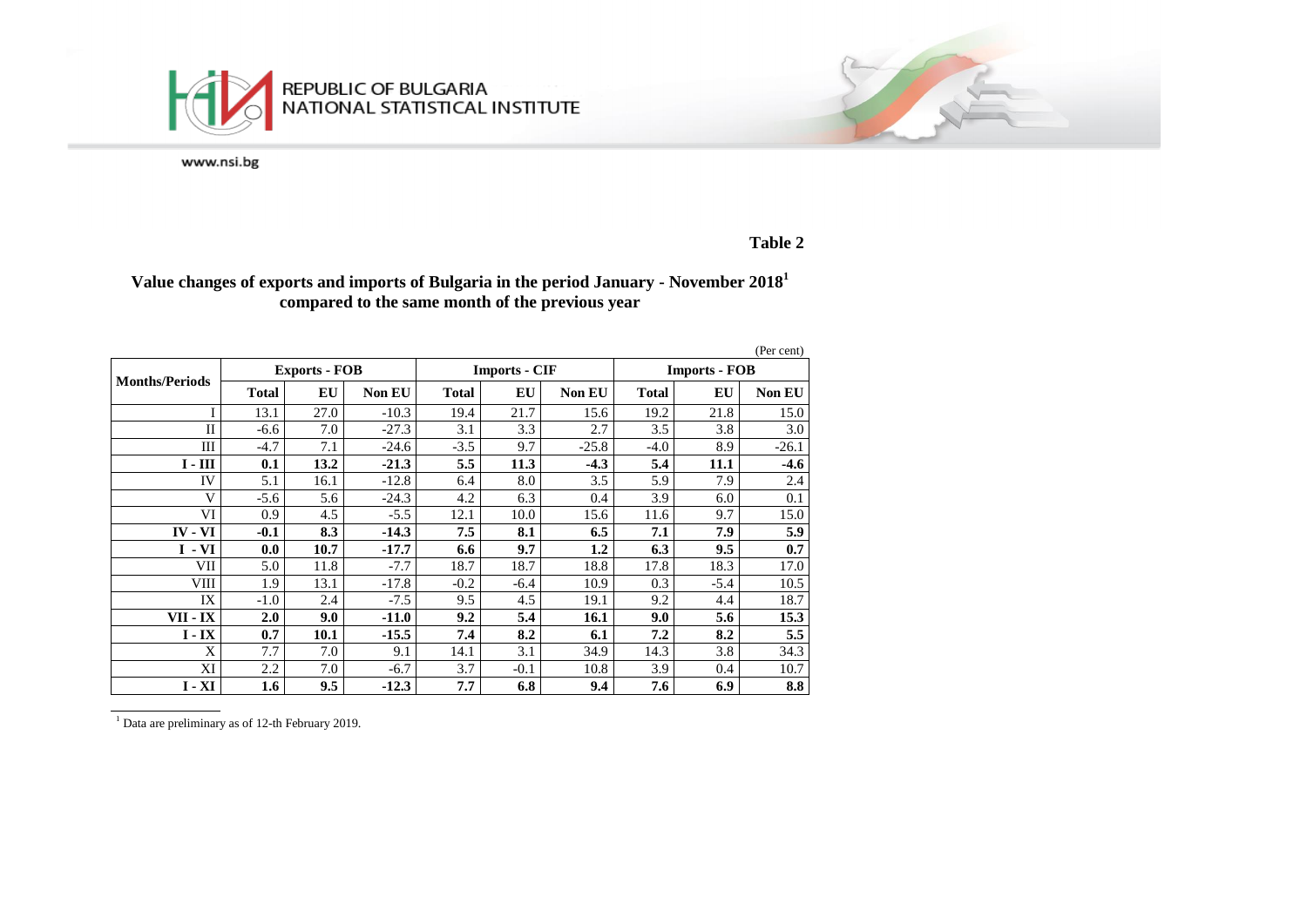

### **Table 2**

## **Value changes of exports and imports of Bulgaria in the period January - November 2018<sup>1</sup> compared to the same month of the previous year**

|                       |              |                      |               |              |                      |               |                      |        | (Per cent)    |  |
|-----------------------|--------------|----------------------|---------------|--------------|----------------------|---------------|----------------------|--------|---------------|--|
| <b>Months/Periods</b> |              | <b>Exports - FOB</b> |               |              | <b>Imports - CIF</b> |               | <b>Imports - FOB</b> |        |               |  |
|                       | <b>Total</b> | EU                   | <b>Non EU</b> | <b>Total</b> | EU                   | <b>Non EU</b> | <b>Total</b>         | EU     | <b>Non EU</b> |  |
|                       | 13.1         | 27.0                 | $-10.3$       | 19.4         | 21.7                 | 15.6          | 19.2                 | 21.8   | 15.0          |  |
| $\mathbf{I}$          | $-6.6$       | 7.0                  | $-27.3$       | 3.1          | 3.3                  | 2.7           | 3.5                  | 3.8    | 3.0           |  |
| Ш                     | $-4.7$       | 7.1                  | $-24.6$       | $-3.5$       | 9.7                  | $-25.8$       | $-4.0$               | 8.9    | $-26.1$       |  |
| $I - III$             | 0.1          | 13.2                 | $-21.3$       | 5.5          | 11.3                 | $-4.3$        | 5.4                  | 11.1   | $-4.6$        |  |
| IV                    | 5.1          | 16.1                 | $-12.8$       | 6.4          | 8.0                  | 3.5           | 5.9                  | 7.9    | 2.4           |  |
| V                     | $-5.6$       | 5.6                  | $-24.3$       | 4.2          | 6.3                  | 0.4           | 3.9                  | 6.0    | 0.1           |  |
| VI                    | 0.9          | 4.5                  | $-5.5$        | 12.1         | 10.0                 | 15.6          | 11.6                 | 9.7    | 15.0          |  |
| $IV - VI$             | $-0.1$       | 8.3                  | $-14.3$       | 7.5          | 8.1                  | 6.5           | 7.1                  | 7.9    | 5.9           |  |
| $I - VI$              | 0.0          | 10.7                 | $-17.7$       | 6.6          | 9.7                  | $1.2\,$       | 6.3                  | 9.5    | 0.7           |  |
| VІІ                   | 5.0          | 11.8                 | $-7.7$        | 18.7         | 18.7                 | 18.8          | 17.8                 | 18.3   | 17.0          |  |
| VIII                  | 1.9          | 13.1                 | $-17.8$       | $-0.2$       | $-6.4$               | 10.9          | 0.3                  | $-5.4$ | 10.5          |  |
| IX                    | $-1.0$       | 2.4                  | $-7.5$        | 9.5          | 4.5                  | 19.1          | 9.2                  | 4.4    | 18.7          |  |
| VII - IX              | 2.0          | 9.0                  | $-11.0$       | 9.2          | 5.4                  | 16.1          | 9.0                  | 5.6    | 15.3          |  |
| $I - IX$              | 0.7          | 10.1                 | $-15.5$       | 7.4          | 8.2                  | 6.1           | 7.2                  | 8.2    | 5.5           |  |
| X                     | 7.7          | 7.0                  | 9.1           | 14.1         | 3.1                  | 34.9          | 14.3                 | 3.8    | 34.3          |  |
| XI                    | 2.2          | 7.0                  | $-6.7$        | 3.7          | $-0.1$               | 10.8          | 3.9                  | 0.4    | 10.7          |  |
| $I - XI$              | 1.6          | 9.5                  | $-12.3$       | 7.7          | 6.8                  | 9.4           | 7.6                  | 6.9    | 8.8           |  |

 $\frac{1}{1}$  Data are preliminary as of 12-th February 2019.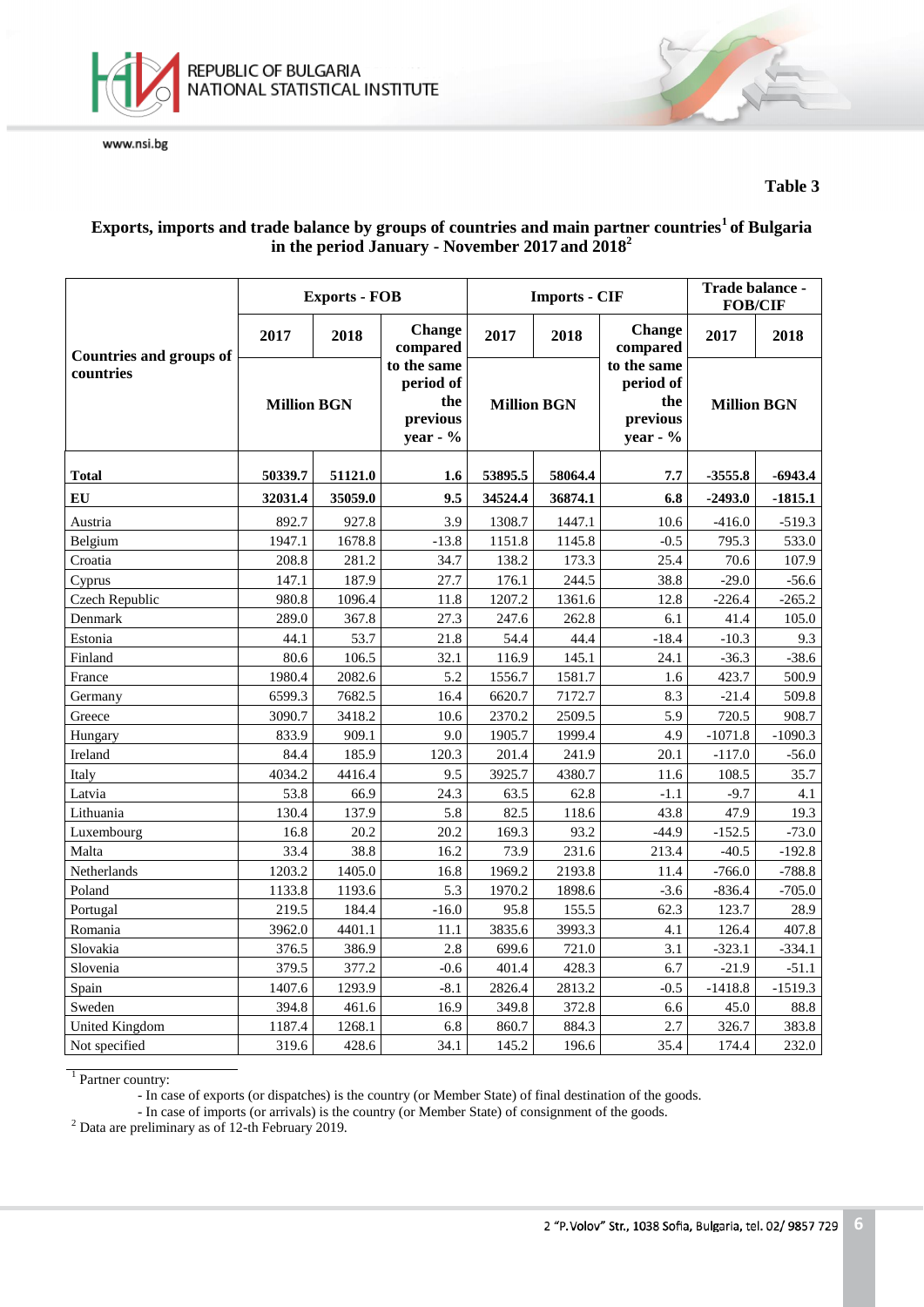

## **Table 3**

# **Exports, imports and trade balance by groups of countries and main partner countries<sup>1</sup>of Bulgaria in the period January - November 2017 and 2018<sup>2</sup>**

|                                |                    | <b>Exports - FOB</b> |                                                         |         | <b>Imports - CIF</b> | Trade balance -<br><b>FOB/CIF</b>                       |                    |           |
|--------------------------------|--------------------|----------------------|---------------------------------------------------------|---------|----------------------|---------------------------------------------------------|--------------------|-----------|
| <b>Countries and groups of</b> | 2017               | 2018                 | <b>Change</b><br>compared                               | 2017    | 2018                 | Change<br>compared                                      | 2017               | 2018      |
| countries                      | <b>Million BGN</b> |                      | to the same<br>period of<br>the<br>previous<br>year - % |         | <b>Million BGN</b>   | to the same<br>period of<br>the<br>previous<br>year - % | <b>Million BGN</b> |           |
| <b>Total</b>                   | 50339.7            | 51121.0              | 1.6                                                     | 53895.5 | 58064.4              | 7.7                                                     | $-3555.8$          | -6943.4   |
| EU                             | 32031.4            | 35059.0              | 9.5                                                     | 34524.4 | 36874.1              | 6.8                                                     | $-2493.0$          | $-1815.1$ |
| Austria                        | 892.7              | 927.8                | 3.9                                                     | 1308.7  | 1447.1               | 10.6                                                    | $-416.0$           | $-519.3$  |
| Belgium                        | 1947.1             | 1678.8               | $-13.8$                                                 | 1151.8  | 1145.8               | $-0.5$                                                  | 795.3              | 533.0     |
| Croatia                        | 208.8              | 281.2                | 34.7                                                    | 138.2   | 173.3                | 25.4                                                    | 70.6               | 107.9     |
| Cyprus                         | 147.1              | 187.9                | 27.7                                                    | 176.1   | 244.5                | 38.8                                                    | $-29.0$            | $-56.6$   |
| Czech Republic                 | 980.8              | 1096.4               | 11.8                                                    | 1207.2  | 1361.6               | 12.8                                                    | $-226.4$           | $-265.2$  |
| Denmark                        | 289.0              | 367.8                | 27.3                                                    | 247.6   | 262.8                | 6.1                                                     | 41.4               | 105.0     |
| Estonia                        | 44.1               | 53.7                 | 21.8                                                    | 54.4    | 44.4                 | $-18.4$                                                 | $-10.3$            | 9.3       |
| Finland                        | 80.6               | 106.5                | 32.1                                                    | 116.9   | 145.1                | 24.1                                                    | $-36.3$            | $-38.6$   |
| France                         | 1980.4             | 2082.6               | 5.2                                                     | 1556.7  | 1581.7               | 1.6                                                     | 423.7              | 500.9     |
| Germany                        | 6599.3             | 7682.5               | 16.4                                                    | 6620.7  | 7172.7               | 8.3                                                     | $-21.4$            | 509.8     |
| Greece                         | 3090.7             | 3418.2               | 10.6                                                    | 2370.2  | 2509.5               | 5.9                                                     | 720.5              | 908.7     |
| Hungary                        | 833.9              | 909.1                | 9.0                                                     | 1905.7  | 1999.4               | 4.9                                                     | $-1071.8$          | $-1090.3$ |
| Ireland                        | 84.4               | 185.9                | 120.3                                                   | 201.4   | 241.9                | 20.1                                                    | $-117.0$           | $-56.0$   |
| Italy                          | 4034.2             | 4416.4               | 9.5                                                     | 3925.7  | 4380.7               | 11.6                                                    | 108.5              | 35.7      |
| Latvia                         | 53.8               | 66.9                 | 24.3                                                    | 63.5    | 62.8                 | $-1.1$                                                  | $-9.7$             | 4.1       |
| Lithuania                      | 130.4              | 137.9                | 5.8                                                     | 82.5    | 118.6                | 43.8                                                    | 47.9               | 19.3      |
| Luxembourg                     | 16.8               | 20.2                 | 20.2                                                    | 169.3   | 93.2                 | $-44.9$                                                 | $-152.5$           | $-73.0$   |
| Malta                          | 33.4               | 38.8                 | 16.2                                                    | 73.9    | 231.6                | 213.4                                                   | $-40.5$            | $-192.8$  |
| Netherlands                    | 1203.2             | 1405.0               | 16.8                                                    | 1969.2  | 2193.8               | 11.4                                                    | $-766.0$           | $-788.8$  |
| Poland                         | 1133.8             | 1193.6               | 5.3                                                     | 1970.2  | 1898.6               | $-3.6$                                                  | $-836.4$           | $-705.0$  |
| Portugal                       | 219.5              | 184.4                | $-16.0$                                                 | 95.8    | 155.5                | 62.3                                                    | 123.7              | 28.9      |
| Romania                        | 3962.0             | 4401.1               | 11.1                                                    | 3835.6  | 3993.3               | 4.1                                                     | 126.4              | 407.8     |
| Slovakia                       | 376.5              | 386.9                | 2.8                                                     | 699.6   | 721.0                | 3.1                                                     | $-323.1$           | $-334.1$  |
| Slovenia                       | 379.5              | 377.2                | $-0.6$                                                  | 401.4   | 428.3                | 6.7                                                     | $-21.9$            | $-51.1$   |
| Spain                          | 1407.6             | 1293.9               | $-8.1$                                                  | 2826.4  | 2813.2               | $-0.5$                                                  | $-1418.8$          | $-1519.3$ |
| Sweden                         | 394.8              | 461.6                | 16.9                                                    | 349.8   | 372.8                | 6.6                                                     | 45.0               | 88.8      |
| <b>United Kingdom</b>          | 1187.4             | 1268.1               | 6.8                                                     | 860.7   | 884.3                | 2.7                                                     | 326.7              | 383.8     |
| Not specified                  | 319.6              | 428.6                | 34.1                                                    | 145.2   | 196.6                | 35.4                                                    | 174.4              | 232.0     |

<sup>1</sup> Partner country:

- In case of exports (or dispatches) is the country (or Member State) of final destination of the goods.

- In case of imports (or arrivals) is the country (or Member State) of consignment of the goods.

<sup>2</sup> Data are preliminary as of 12-th February 2019.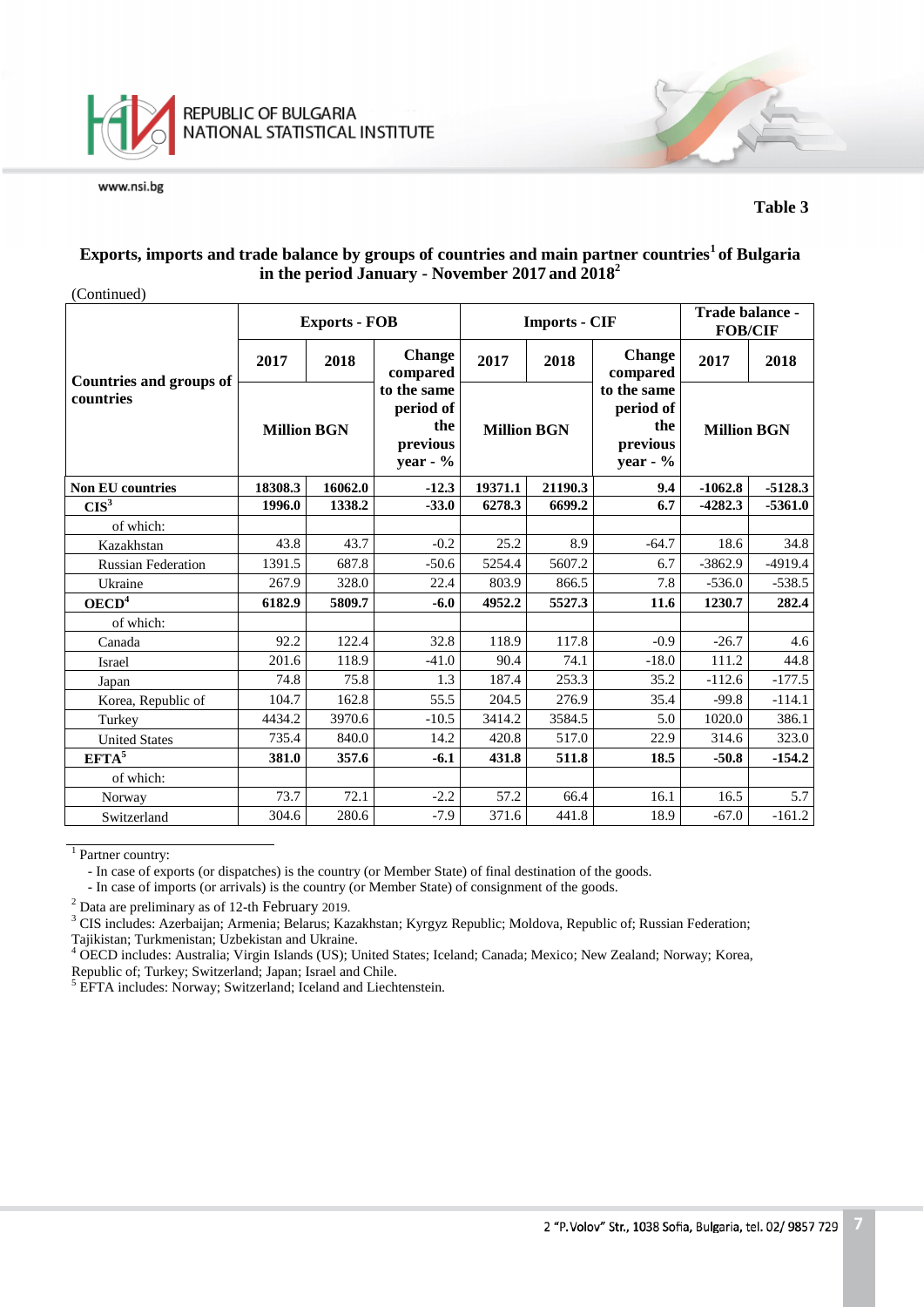

#### **Table 3**

#### **Exports, imports and trade balance by groups of countries and main partner countries<sup>1</sup>of Bulgaria in the period January - November 2017 and 2018<sup>2</sup>**

| (Continued)                                 |                    |                      |                                                            |                    |                      |                                                            |                                   |           |
|---------------------------------------------|--------------------|----------------------|------------------------------------------------------------|--------------------|----------------------|------------------------------------------------------------|-----------------------------------|-----------|
|                                             |                    | <b>Exports - FOB</b> |                                                            |                    | <b>Imports - CIF</b> |                                                            | Trade balance -<br><b>FOB/CIF</b> |           |
|                                             | 2017               | 2018                 | <b>Change</b><br>compared                                  | 2017               | 2018                 | <b>Change</b><br>compared                                  | 2017                              | 2018      |
| <b>Countries and groups of</b><br>countries | <b>Million BGN</b> |                      | to the same<br>period of<br>the<br>previous<br>year - $\%$ | <b>Million BGN</b> |                      | to the same<br>period of<br>the<br>previous<br>year - $\%$ | <b>Million BGN</b>                |           |
| <b>Non EU countries</b>                     | 18308.3<br>16062.0 |                      | $-12.3$                                                    | 19371.1            | 21190.3              | 9.4                                                        | $-1062.8$                         | $-5128.3$ |
| CIS <sup>3</sup>                            | 1996.0             | 1338.2               | $-33.0$                                                    | 6278.3             | 6699.2               | 6.7                                                        | $-4282.3$                         | $-5361.0$ |
| of which:                                   |                    |                      |                                                            |                    |                      |                                                            |                                   |           |
| Kazakhstan                                  | 43.8               | 43.7                 | $-0.2$                                                     | 25.2               | 8.9                  | $-64.7$                                                    | 18.6                              | 34.8      |
| <b>Russian Federation</b>                   | 1391.5             | 687.8                | $-50.6$                                                    | 5254.4             | 5607.2               | 6.7                                                        | $-3862.9$                         | $-4919.4$ |
| Ukraine                                     | 267.9              | 328.0                | 22.4                                                       | 803.9              | 866.5                | 7.8                                                        | $-536.0$                          | $-538.5$  |
| OECD <sup>4</sup>                           | 6182.9             | 5809.7               | $-6.0$                                                     | 4952.2             | 5527.3               | 11.6                                                       | 1230.7                            | 282.4     |
| of which:                                   |                    |                      |                                                            |                    |                      |                                                            |                                   |           |
| Canada                                      | 92.2               | 122.4                | 32.8                                                       | 118.9              | 117.8                | $-0.9$                                                     | $-26.7$                           | 4.6       |
| Israel                                      | 201.6              | 118.9                | $-41.0$                                                    | 90.4               | 74.1                 | $-18.0$                                                    | 111.2                             | 44.8      |
| Japan                                       | 74.8               | 75.8                 | 1.3                                                        | 187.4              | 253.3                | 35.2                                                       | $-112.6$                          | $-177.5$  |
| Korea, Republic of                          | 104.7              | 162.8                | 55.5                                                       | 204.5              | 276.9                | 35.4                                                       | $-99.8$                           | $-114.1$  |
| Turkey                                      | 4434.2             | 3970.6               | $-10.5$                                                    | 3414.2             | 3584.5               | 5.0                                                        | 1020.0                            | 386.1     |
| <b>United States</b>                        | 735.4              | 840.0                | 14.2                                                       | 420.8              | 517.0                | 22.9                                                       | 314.6                             | 323.0     |
| EFTA <sup>5</sup>                           | 381.0              | 357.6                | $-6.1$                                                     | 431.8              | 511.8                | 18.5                                                       | $-50.8$                           | $-154.2$  |
| of which:                                   |                    |                      |                                                            |                    |                      |                                                            |                                   |           |
| Norway                                      | 73.7               | 72.1                 | $-2.2$                                                     | 57.2               | 66.4                 | 16.1                                                       | 16.5                              | 5.7       |
| Switzerland                                 | 304.6              | 280.6                | $-7.9$                                                     | 371.6              | 441.8                | 18.9                                                       | $-67.0$                           | $-161.2$  |

<sup>1</sup> Partner country:

- In case of exports (or dispatches) is the country (or Member State) of final destination of the goods.

- In case of imports (or arrivals) is the country (or Member State) of consignment of the goods.

<sup>2</sup> Data are preliminary as of 12-th February 2019.

<sup>3</sup> CIS includes: Azerbaijan; Armenia; Belarus; Kazakhstan; Kyrgyz Republic; Moldova, Republic of; Russian Federation; Tajikistan; Turkmenistan; Uzbekistan and Ukraine.

<sup>4</sup> OECD includes: Australia; Virgin Islands (US); United States; Iceland; Canada; Mexico; New Zealand; Norway; Korea, Republic of; Turkey; Switzerland; Japan; Israel and Chile.

<sup>5</sup> EFTA includes: Norway; Switzerland; Iceland and Liechtenstein.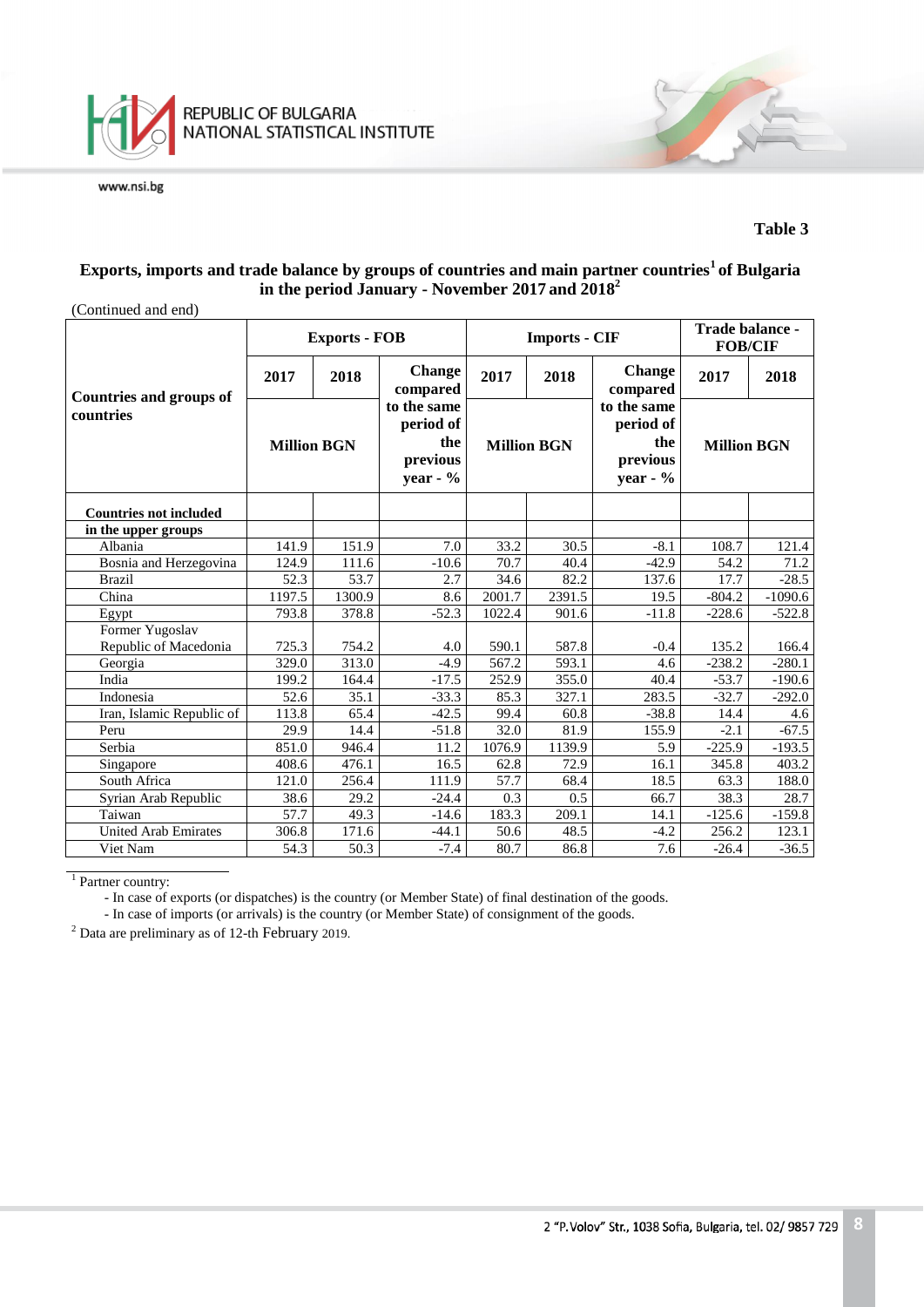

## **Exports, imports and trade balance by groups of countries and main partner countries<sup>1</sup>of Bulgaria in the period January - November 2017 and 2018<sup>2</sup>**

| (Continued and end)                         |                    |                      |                                                           |                    |                      |                                                            |                    |           |
|---------------------------------------------|--------------------|----------------------|-----------------------------------------------------------|--------------------|----------------------|------------------------------------------------------------|--------------------|-----------|
|                                             |                    | <b>Exports - FOB</b> |                                                           |                    | <b>Imports - CIF</b> | Trade balance -<br><b>FOB/CIF</b>                          |                    |           |
|                                             | 2017               | 2018                 | <b>Change</b><br>compared                                 | 2017               | 2018                 | <b>Change</b><br>compared                                  | 2017               | 2018      |
| <b>Countries and groups of</b><br>countries | <b>Million BGN</b> |                      | to the same<br>period of<br>the<br>previous<br>year - $%$ | <b>Million BGN</b> |                      | to the same<br>period of<br>the<br>previous<br>year - $\%$ | <b>Million BGN</b> |           |
| <b>Countries not included</b>               |                    |                      |                                                           |                    |                      |                                                            |                    |           |
| in the upper groups                         |                    |                      |                                                           |                    |                      |                                                            |                    |           |
| Albania                                     | 141.9              | 151.9                | 7.0                                                       | 33.2               | 30.5                 | $-8.1$                                                     | 108.7              | 121.4     |
| Bosnia and Herzegovina                      | 124.9              | 111.6                | $-10.6$                                                   | 70.7               | 40.4                 | $-42.9$                                                    | 54.2               | 71.2      |
| <b>Brazil</b>                               | 52.3               | 53.7                 | 2.7                                                       | 34.6               | 82.2                 | 137.6                                                      | 17.7               | $-28.5$   |
| China                                       | 1197.5             | 1300.9               | 8.6                                                       | 2001.7             | 2391.5               | 19.5                                                       | $-804.2$           | $-1090.6$ |
| Egypt                                       | 793.8              | 378.8                | $-52.3$                                                   | 1022.4             | 901.6                | $-11.8$                                                    | $-228.6$           | $-522.8$  |
| Former Yugoslav                             |                    |                      |                                                           |                    |                      |                                                            |                    |           |
| Republic of Macedonia                       | 725.3              | 754.2                | 4.0                                                       | 590.1              | 587.8                | $-0.4$                                                     | 135.2              | 166.4     |
| Georgia                                     | 329.0              | 313.0                | $-4.9$                                                    | 567.2              | 593.1                | 4.6                                                        | $-238.2$           | $-280.1$  |
| India                                       | 199.2              | 164.4                | $-17.5$                                                   | 252.9              | 355.0                | 40.4                                                       | $-53.7$            | $-190.6$  |
| Indonesia                                   | 52.6               | 35.1                 | $-33.3$                                                   | 85.3               | 327.1                | 283.5                                                      | $-32.7$            | $-292.0$  |
| Iran, Islamic Republic of                   | 113.8              | 65.4                 | $-42.5$                                                   | 99.4               | 60.8                 | $-38.8$                                                    | 14.4               | 4.6       |
| Peru                                        | 29.9               | 14.4                 | $-51.8$                                                   | 32.0               | 81.9                 | 155.9                                                      | $-2.1$             | $-67.5$   |
| Serbia                                      | 851.0              | 946.4                | 11.2                                                      | 1076.9             | 1139.9               | 5.9                                                        | $-225.9$           | $-193.5$  |
| Singapore                                   | 408.6              | 476.1                | 16.5                                                      | 62.8               | 72.9                 | 16.1                                                       | 345.8              | 403.2     |
| South Africa                                | 121.0              | 256.4                | 111.9                                                     | 57.7               | 68.4                 | 18.5                                                       | 63.3               | 188.0     |
| Syrian Arab Republic                        | 38.6               | 29.2                 | $-24.4$                                                   | 0.3                | 0.5                  | 66.7                                                       | 38.3               | 28.7      |
| Taiwan                                      | 57.7               | 49.3                 | $-14.6$                                                   | 183.3              | 209.1                | 14.1                                                       | $-125.6$           | $-159.8$  |
| <b>United Arab Emirates</b>                 | 306.8              | 171.6                | $-44.1$                                                   | 50.6               | 48.5                 | $-4.2$                                                     | 256.2              | 123.1     |
| Viet Nam                                    | 54.3               | 50.3                 | $-7.4$                                                    | 80.7               | 86.8                 | 7.6                                                        | $-26.4$            | $-36.5$   |

<sup>1</sup> Partner country:

- In case of exports (or dispatches) is the country (or Member State) of final destination of the goods.

- In case of imports (or arrivals) is the country (or Member State) of consignment of the goods.

<sup>2</sup> Data are preliminary as of 12-th February 2019.